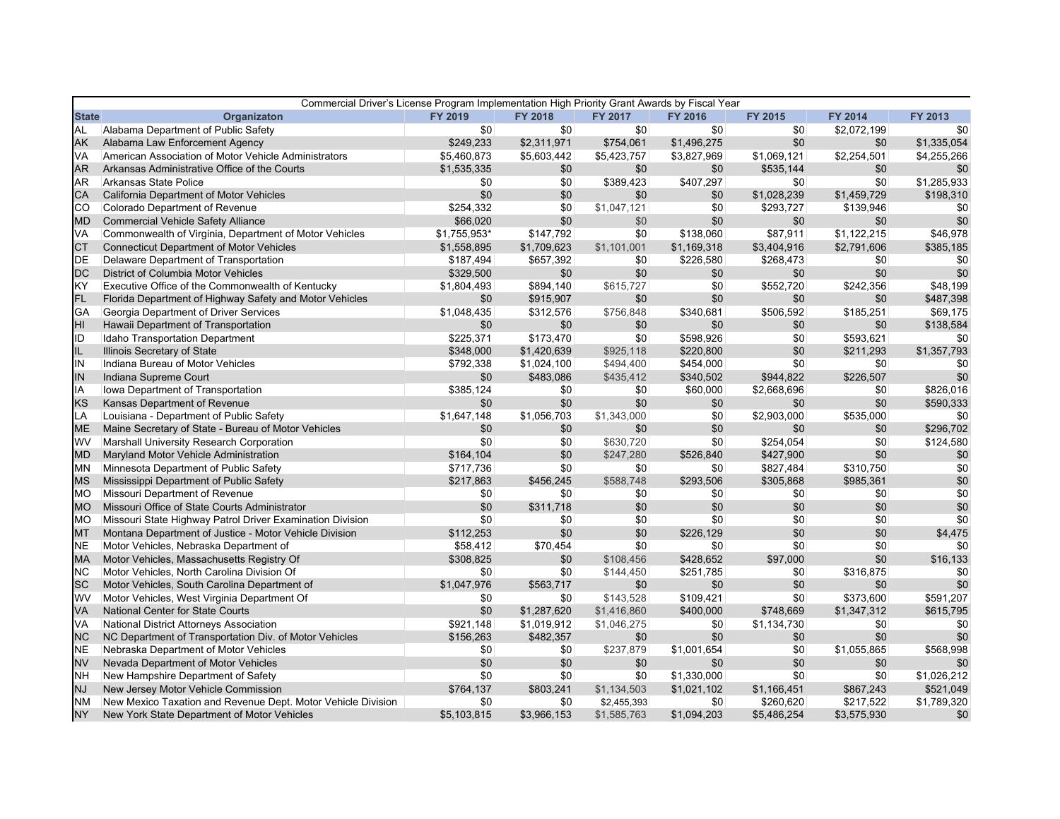| <b>State</b><br>Organizaton<br>FY 2018<br>FY 2019<br><b>FY 2017</b><br>FY 2016<br>FY 2015<br><b>FY 2014</b><br>FY 2013<br><b>AL</b><br>Alabama Department of Public Safety<br>\$0<br>\$0<br>\$0<br>\$0<br>\$2,072,199<br>\$0<br>\$0<br>\$0<br>\$1,335,054<br>AK<br>Alabama Law Enforcement Agency<br>\$249,233<br>\$2,311,971<br>\$754,061<br>\$1,496,275<br>\$0<br>VA<br>American Association of Motor Vehicle Administrators<br>\$5,460,873<br>\$5,603,442<br>\$5,423,757<br>\$3,827,969<br>\$1,069,121<br>\$2,254,501<br>\$4,255,266<br><b>AR</b><br>Arkansas Administrative Office of the Courts<br>\$1,535,335<br>\$0<br>\$0<br>\$0<br>\$535,144<br>\$0<br><b>AR</b><br>Arkansas State Police<br>\$0<br>\$389,423<br>\$407,297<br>\$0<br>\$0<br>\$1,285,933<br>\$0<br>\$0<br>\$198,310<br>CA<br>California Department of Motor Vehicles<br>\$0<br>\$0<br>\$0<br>\$1,028,239<br>\$1,459,729<br>co<br>\$254,332<br>Colorado Department of Revenue<br>\$0<br>\$1,047,121<br>\$0<br>\$293,727<br>\$139,946<br>\$0<br>\$66,020<br>\$0<br>\$0<br>\$0<br><b>Commercial Vehicle Safety Alliance</b><br>\$0<br>\$0<br>\$0<br>MD<br>VA<br>Commonwealth of Virginia, Department of Motor Vehicles<br>\$1,755,953*<br>\$147,792<br>\$138,060<br>\$87,911<br>\$1,122,215<br>\$46,978<br>\$0<br><b>Connecticut Department of Motor Vehicles</b><br>\$1,169,318<br>\$2,791,606<br>\$385,185<br><b>CT</b><br>\$1,558,895<br>\$1,709,623<br>\$1,101,001<br>\$3,404,916<br><b>DE</b><br>Delaware Department of Transportation<br>\$187,494<br>\$657,392<br>\$0<br>\$226,580<br>\$268,473<br>\$0<br>\$0<br><b>DC</b><br>\$0<br>District of Columbia Motor Vehicles<br>\$329,500<br>\$0<br>\$0<br>\$0<br>\$0<br>\$0<br>KY<br>Executive Office of the Commonwealth of Kentucky<br>\$894,140<br>\$0<br>\$242,356<br>\$48,199<br>\$1,804,493<br>\$615,727<br>\$552,720<br>FL<br>\$0<br>\$487,398<br>Florida Department of Highway Safety and Motor Vehicles<br>\$915,907<br>\$0<br>\$0<br>\$0<br>\$0<br>\$340,681<br>GA<br>Georgia Department of Driver Services<br>\$1,048,435<br>\$312,576<br>\$756,848<br>\$506,592<br>\$185,251<br>\$69,175<br>HI<br>Hawaii Department of Transportation<br>\$138,584<br>\$0<br>\$0<br>\$0<br>\$0<br>\$0<br>\$0<br>ID<br>Idaho Transportation Department<br>\$225,371<br>\$173,470<br>\$0<br>\$598,926<br>\$593,621<br>\$0<br>\$0<br>IL<br>Illinois Secretary of State<br>\$1,420,639<br>\$925,118<br>\$220,800<br>\$0<br>\$1,357,793<br>\$348,000<br>\$211,293<br>IN<br>\$0<br>Indiana Bureau of Motor Vehicles<br>\$792,338<br>\$1,024,100<br>\$494,400<br>\$454,000<br>\$0<br>\$0<br>IN<br>\$226,507<br>\$0<br>Indiana Supreme Court<br>\$0<br>\$483,086<br>\$435,412<br>\$340,502<br>\$944,822<br>IA<br>\$826,016<br>Iowa Department of Transportation<br>\$385,124<br>\$60,000<br>\$2,668,696<br>\$0<br>\$0<br>\$0<br><b>KS</b><br>\$0<br>\$0<br>\$0<br>Kansas Department of Revenue<br>\$0<br>\$0<br>\$0<br>\$590,333<br>LA<br>Louisiana - Department of Public Safety<br>\$1,056,703<br>\$1,343,000<br>\$2,903,000<br>\$535,000<br>\$1,647,148<br>\$0<br>\$0<br>Maine Secretary of State - Bureau of Motor Vehicles<br>\$0<br>\$0<br>\$0<br>\$296,702<br><b>ME</b><br>\$0<br>\$0<br>\$0<br>WV<br>Marshall University Research Corporation<br>\$124,580<br>\$0<br>\$0<br>\$630,720<br>\$0<br>\$254,054<br>\$0<br>Maryland Motor Vehicle Administration<br>\$164,104<br>\$0<br>\$526,840<br>\$0<br>\$0<br>\$247,280<br>\$427,900<br><b>MD</b><br>MN<br>Minnesota Department of Public Safety<br>\$0<br>\$0<br>\$0<br>\$310,750<br>\$0<br>\$717,736<br>\$827,484<br>\$0<br>Mississippi Department of Public Safety<br>\$456,245<br>\$588,748<br>\$293,506<br>\$305,868<br>\$985,361<br><b>MS</b><br>\$217,863<br>\$0<br>Missouri Department of Revenue<br>\$0<br><b>MO</b><br>\$0<br>\$0<br>\$0<br>\$0<br>\$0<br>Missouri Office of State Courts Administrator<br>\$0<br>\$0<br>\$0<br>\$0<br><b>MO</b><br>\$0<br>\$311,718<br>\$0<br>Missouri State Highway Patrol Driver Examination Division<br>\$0<br>\$0<br>\$0<br>\$0<br>\$0<br>\$0<br><b>MO</b><br>\$0<br><b>MT</b><br>Montana Department of Justice - Motor Vehicle Division<br>\$112,253<br>\$0<br>\$0<br>\$226,129<br>\$0<br>\$0<br>\$4,475<br><b>NE</b><br>Motor Vehicles, Nebraska Department of<br>\$58,412<br>\$0<br>\$0<br>\$0<br>\$0<br>\$0<br>\$70,454<br><b>MA</b><br>Motor Vehicles, Massachusetts Registry Of<br>\$308,825<br>\$0<br>\$16,133<br>\$0<br>\$108,456<br>\$428,652<br>\$97,000<br><b>NC</b><br>Motor Vehicles, North Carolina Division Of<br>\$0<br>\$0<br>\$316,875<br>\$144,450<br>\$251,785<br>\$0<br>\$0<br><b>SC</b><br>\$0<br>Motor Vehicles, South Carolina Department of<br>\$1,047,976<br>\$563,717<br>\$0<br>\$0<br>\$0<br>\$0<br>WV<br>\$143,528<br>\$0<br>\$373,600<br>Motor Vehicles, West Virginia Department Of<br>\$0<br>\$0<br>\$109,421<br>\$591,207<br><b>VA</b><br><b>National Center for State Courts</b><br>\$0<br>\$1,347,312<br>\$615,795<br>\$1,287,620<br>\$1,416,860<br>\$400,000<br>\$748,669<br>VA<br>National District Attorneys Association<br>\$921,148<br>\$1,019,912<br>\$1,046,275<br>\$0<br>\$1,134,730<br>\$0<br>\$0<br><b>NC</b><br>NC Department of Transportation Div. of Motor Vehicles<br>\$156,263<br>\$482,357<br>\$0<br>\$0<br>\$0<br>\$0<br>\$0<br>\$568,998<br><b>NE</b><br>\$237,879<br>\$1,001,654<br>\$0<br>\$1,055,865<br>Nebraska Department of Motor Vehicles<br>\$0<br>\$0<br><b>NV</b><br>Nevada Department of Motor Vehicles<br>\$0<br>\$0<br>\$0<br>\$0<br>\$0<br>\$0<br>\$0<br><b>NH</b><br>New Hampshire Department of Safety<br>\$0<br>\$1,330,000<br>\$1,026,212<br>\$0<br>\$0<br>\$0<br>\$0<br>New Jersey Motor Vehicle Commission<br>\$764,137<br>\$803,241<br>\$1,134,503<br>\$1,021,102<br>\$1,166,451<br>\$867,243<br>\$521,049<br>NJ<br><b>NM</b><br>New Mexico Taxation and Revenue Dept. Motor Vehicle Division<br>\$0<br>\$0<br>\$0<br>\$260,620<br>\$217,522<br>\$1,789,320<br>\$2,455,393<br><b>NY</b><br>\$5.103.815<br>\$3,966,153<br>\$1,585,763<br>\$1,094,203<br>\$5,486,254<br>\$3,575,930<br>New York State Department of Motor Vehicles<br>\$0 | Commercial Driver's License Program Implementation High Priority Grant Awards by Fiscal Year |  |  |  |     |
|--------------------------------------------------------------------------------------------------------------------------------------------------------------------------------------------------------------------------------------------------------------------------------------------------------------------------------------------------------------------------------------------------------------------------------------------------------------------------------------------------------------------------------------------------------------------------------------------------------------------------------------------------------------------------------------------------------------------------------------------------------------------------------------------------------------------------------------------------------------------------------------------------------------------------------------------------------------------------------------------------------------------------------------------------------------------------------------------------------------------------------------------------------------------------------------------------------------------------------------------------------------------------------------------------------------------------------------------------------------------------------------------------------------------------------------------------------------------------------------------------------------------------------------------------------------------------------------------------------------------------------------------------------------------------------------------------------------------------------------------------------------------------------------------------------------------------------------------------------------------------------------------------------------------------------------------------------------------------------------------------------------------------------------------------------------------------------------------------------------------------------------------------------------------------------------------------------------------------------------------------------------------------------------------------------------------------------------------------------------------------------------------------------------------------------------------------------------------------------------------------------------------------------------------------------------------------------------------------------------------------------------------------------------------------------------------------------------------------------------------------------------------------------------------------------------------------------------------------------------------------------------------------------------------------------------------------------------------------------------------------------------------------------------------------------------------------------------------------------------------------------------------------------------------------------------------------------------------------------------------------------------------------------------------------------------------------------------------------------------------------------------------------------------------------------------------------------------------------------------------------------------------------------------------------------------------------------------------------------------------------------------------------------------------------------------------------------------------------------------------------------------------------------------------------------------------------------------------------------------------------------------------------------------------------------------------------------------------------------------------------------------------------------------------------------------------------------------------------------------------------------------------------------------------------------------------------------------------------------------------------------------------------------------------------------------------------------------------------------------------------------------------------------------------------------------------------------------------------------------------------------------------------------------------------------------------------------------------------------------------------------------------------------------------------------------------------------------------------------------------------------------------------------------------------------------------------------------------------------------------------------------------------------------------------------------------------------------------------------------------------------------------------------------------------------------------------------------------------------------------------------------------------------------------------------------------------------------------------------------------------------------------------------------------------------------------------------------------------------------------------------------------------------------------------------------------------------------------------------------------------------------------------------------------------------------------------------------------------------------------------------------------------------------------------------------------------------------------------------------------------------------------------------------------------------------------------------------------------------------------------------------------------------------------------------------------------------------------------------------------------------------------------------------------------------------------------------------------------------------------------------------|----------------------------------------------------------------------------------------------|--|--|--|-----|
|                                                                                                                                                                                                                                                                                                                                                                                                                                                                                                                                                                                                                                                                                                                                                                                                                                                                                                                                                                                                                                                                                                                                                                                                                                                                                                                                                                                                                                                                                                                                                                                                                                                                                                                                                                                                                                                                                                                                                                                                                                                                                                                                                                                                                                                                                                                                                                                                                                                                                                                                                                                                                                                                                                                                                                                                                                                                                                                                                                                                                                                                                                                                                                                                                                                                                                                                                                                                                                                                                                                                                                                                                                                                                                                                                                                                                                                                                                                                                                                                                                                                                                                                                                                                                                                                                                                                                                                                                                                                                                                                                                                                                                                                                                                                                                                                                                                                                                                                                                                                                                                                                                                                                                                                                                                                                                                                                                                                                                                                                                                                                                                                                                                                                                                                                                                                                                                                                                                                                                                                                                                                                                                                      |                                                                                              |  |  |  |     |
|                                                                                                                                                                                                                                                                                                                                                                                                                                                                                                                                                                                                                                                                                                                                                                                                                                                                                                                                                                                                                                                                                                                                                                                                                                                                                                                                                                                                                                                                                                                                                                                                                                                                                                                                                                                                                                                                                                                                                                                                                                                                                                                                                                                                                                                                                                                                                                                                                                                                                                                                                                                                                                                                                                                                                                                                                                                                                                                                                                                                                                                                                                                                                                                                                                                                                                                                                                                                                                                                                                                                                                                                                                                                                                                                                                                                                                                                                                                                                                                                                                                                                                                                                                                                                                                                                                                                                                                                                                                                                                                                                                                                                                                                                                                                                                                                                                                                                                                                                                                                                                                                                                                                                                                                                                                                                                                                                                                                                                                                                                                                                                                                                                                                                                                                                                                                                                                                                                                                                                                                                                                                                                                                      |                                                                                              |  |  |  |     |
|                                                                                                                                                                                                                                                                                                                                                                                                                                                                                                                                                                                                                                                                                                                                                                                                                                                                                                                                                                                                                                                                                                                                                                                                                                                                                                                                                                                                                                                                                                                                                                                                                                                                                                                                                                                                                                                                                                                                                                                                                                                                                                                                                                                                                                                                                                                                                                                                                                                                                                                                                                                                                                                                                                                                                                                                                                                                                                                                                                                                                                                                                                                                                                                                                                                                                                                                                                                                                                                                                                                                                                                                                                                                                                                                                                                                                                                                                                                                                                                                                                                                                                                                                                                                                                                                                                                                                                                                                                                                                                                                                                                                                                                                                                                                                                                                                                                                                                                                                                                                                                                                                                                                                                                                                                                                                                                                                                                                                                                                                                                                                                                                                                                                                                                                                                                                                                                                                                                                                                                                                                                                                                                                      |                                                                                              |  |  |  |     |
|                                                                                                                                                                                                                                                                                                                                                                                                                                                                                                                                                                                                                                                                                                                                                                                                                                                                                                                                                                                                                                                                                                                                                                                                                                                                                                                                                                                                                                                                                                                                                                                                                                                                                                                                                                                                                                                                                                                                                                                                                                                                                                                                                                                                                                                                                                                                                                                                                                                                                                                                                                                                                                                                                                                                                                                                                                                                                                                                                                                                                                                                                                                                                                                                                                                                                                                                                                                                                                                                                                                                                                                                                                                                                                                                                                                                                                                                                                                                                                                                                                                                                                                                                                                                                                                                                                                                                                                                                                                                                                                                                                                                                                                                                                                                                                                                                                                                                                                                                                                                                                                                                                                                                                                                                                                                                                                                                                                                                                                                                                                                                                                                                                                                                                                                                                                                                                                                                                                                                                                                                                                                                                                                      |                                                                                              |  |  |  |     |
|                                                                                                                                                                                                                                                                                                                                                                                                                                                                                                                                                                                                                                                                                                                                                                                                                                                                                                                                                                                                                                                                                                                                                                                                                                                                                                                                                                                                                                                                                                                                                                                                                                                                                                                                                                                                                                                                                                                                                                                                                                                                                                                                                                                                                                                                                                                                                                                                                                                                                                                                                                                                                                                                                                                                                                                                                                                                                                                                                                                                                                                                                                                                                                                                                                                                                                                                                                                                                                                                                                                                                                                                                                                                                                                                                                                                                                                                                                                                                                                                                                                                                                                                                                                                                                                                                                                                                                                                                                                                                                                                                                                                                                                                                                                                                                                                                                                                                                                                                                                                                                                                                                                                                                                                                                                                                                                                                                                                                                                                                                                                                                                                                                                                                                                                                                                                                                                                                                                                                                                                                                                                                                                                      |                                                                                              |  |  |  | \$0 |
|                                                                                                                                                                                                                                                                                                                                                                                                                                                                                                                                                                                                                                                                                                                                                                                                                                                                                                                                                                                                                                                                                                                                                                                                                                                                                                                                                                                                                                                                                                                                                                                                                                                                                                                                                                                                                                                                                                                                                                                                                                                                                                                                                                                                                                                                                                                                                                                                                                                                                                                                                                                                                                                                                                                                                                                                                                                                                                                                                                                                                                                                                                                                                                                                                                                                                                                                                                                                                                                                                                                                                                                                                                                                                                                                                                                                                                                                                                                                                                                                                                                                                                                                                                                                                                                                                                                                                                                                                                                                                                                                                                                                                                                                                                                                                                                                                                                                                                                                                                                                                                                                                                                                                                                                                                                                                                                                                                                                                                                                                                                                                                                                                                                                                                                                                                                                                                                                                                                                                                                                                                                                                                                                      |                                                                                              |  |  |  |     |
|                                                                                                                                                                                                                                                                                                                                                                                                                                                                                                                                                                                                                                                                                                                                                                                                                                                                                                                                                                                                                                                                                                                                                                                                                                                                                                                                                                                                                                                                                                                                                                                                                                                                                                                                                                                                                                                                                                                                                                                                                                                                                                                                                                                                                                                                                                                                                                                                                                                                                                                                                                                                                                                                                                                                                                                                                                                                                                                                                                                                                                                                                                                                                                                                                                                                                                                                                                                                                                                                                                                                                                                                                                                                                                                                                                                                                                                                                                                                                                                                                                                                                                                                                                                                                                                                                                                                                                                                                                                                                                                                                                                                                                                                                                                                                                                                                                                                                                                                                                                                                                                                                                                                                                                                                                                                                                                                                                                                                                                                                                                                                                                                                                                                                                                                                                                                                                                                                                                                                                                                                                                                                                                                      |                                                                                              |  |  |  |     |
|                                                                                                                                                                                                                                                                                                                                                                                                                                                                                                                                                                                                                                                                                                                                                                                                                                                                                                                                                                                                                                                                                                                                                                                                                                                                                                                                                                                                                                                                                                                                                                                                                                                                                                                                                                                                                                                                                                                                                                                                                                                                                                                                                                                                                                                                                                                                                                                                                                                                                                                                                                                                                                                                                                                                                                                                                                                                                                                                                                                                                                                                                                                                                                                                                                                                                                                                                                                                                                                                                                                                                                                                                                                                                                                                                                                                                                                                                                                                                                                                                                                                                                                                                                                                                                                                                                                                                                                                                                                                                                                                                                                                                                                                                                                                                                                                                                                                                                                                                                                                                                                                                                                                                                                                                                                                                                                                                                                                                                                                                                                                                                                                                                                                                                                                                                                                                                                                                                                                                                                                                                                                                                                                      |                                                                                              |  |  |  |     |
|                                                                                                                                                                                                                                                                                                                                                                                                                                                                                                                                                                                                                                                                                                                                                                                                                                                                                                                                                                                                                                                                                                                                                                                                                                                                                                                                                                                                                                                                                                                                                                                                                                                                                                                                                                                                                                                                                                                                                                                                                                                                                                                                                                                                                                                                                                                                                                                                                                                                                                                                                                                                                                                                                                                                                                                                                                                                                                                                                                                                                                                                                                                                                                                                                                                                                                                                                                                                                                                                                                                                                                                                                                                                                                                                                                                                                                                                                                                                                                                                                                                                                                                                                                                                                                                                                                                                                                                                                                                                                                                                                                                                                                                                                                                                                                                                                                                                                                                                                                                                                                                                                                                                                                                                                                                                                                                                                                                                                                                                                                                                                                                                                                                                                                                                                                                                                                                                                                                                                                                                                                                                                                                                      |                                                                                              |  |  |  |     |
|                                                                                                                                                                                                                                                                                                                                                                                                                                                                                                                                                                                                                                                                                                                                                                                                                                                                                                                                                                                                                                                                                                                                                                                                                                                                                                                                                                                                                                                                                                                                                                                                                                                                                                                                                                                                                                                                                                                                                                                                                                                                                                                                                                                                                                                                                                                                                                                                                                                                                                                                                                                                                                                                                                                                                                                                                                                                                                                                                                                                                                                                                                                                                                                                                                                                                                                                                                                                                                                                                                                                                                                                                                                                                                                                                                                                                                                                                                                                                                                                                                                                                                                                                                                                                                                                                                                                                                                                                                                                                                                                                                                                                                                                                                                                                                                                                                                                                                                                                                                                                                                                                                                                                                                                                                                                                                                                                                                                                                                                                                                                                                                                                                                                                                                                                                                                                                                                                                                                                                                                                                                                                                                                      |                                                                                              |  |  |  |     |
|                                                                                                                                                                                                                                                                                                                                                                                                                                                                                                                                                                                                                                                                                                                                                                                                                                                                                                                                                                                                                                                                                                                                                                                                                                                                                                                                                                                                                                                                                                                                                                                                                                                                                                                                                                                                                                                                                                                                                                                                                                                                                                                                                                                                                                                                                                                                                                                                                                                                                                                                                                                                                                                                                                                                                                                                                                                                                                                                                                                                                                                                                                                                                                                                                                                                                                                                                                                                                                                                                                                                                                                                                                                                                                                                                                                                                                                                                                                                                                                                                                                                                                                                                                                                                                                                                                                                                                                                                                                                                                                                                                                                                                                                                                                                                                                                                                                                                                                                                                                                                                                                                                                                                                                                                                                                                                                                                                                                                                                                                                                                                                                                                                                                                                                                                                                                                                                                                                                                                                                                                                                                                                                                      |                                                                                              |  |  |  |     |
|                                                                                                                                                                                                                                                                                                                                                                                                                                                                                                                                                                                                                                                                                                                                                                                                                                                                                                                                                                                                                                                                                                                                                                                                                                                                                                                                                                                                                                                                                                                                                                                                                                                                                                                                                                                                                                                                                                                                                                                                                                                                                                                                                                                                                                                                                                                                                                                                                                                                                                                                                                                                                                                                                                                                                                                                                                                                                                                                                                                                                                                                                                                                                                                                                                                                                                                                                                                                                                                                                                                                                                                                                                                                                                                                                                                                                                                                                                                                                                                                                                                                                                                                                                                                                                                                                                                                                                                                                                                                                                                                                                                                                                                                                                                                                                                                                                                                                                                                                                                                                                                                                                                                                                                                                                                                                                                                                                                                                                                                                                                                                                                                                                                                                                                                                                                                                                                                                                                                                                                                                                                                                                                                      |                                                                                              |  |  |  |     |
|                                                                                                                                                                                                                                                                                                                                                                                                                                                                                                                                                                                                                                                                                                                                                                                                                                                                                                                                                                                                                                                                                                                                                                                                                                                                                                                                                                                                                                                                                                                                                                                                                                                                                                                                                                                                                                                                                                                                                                                                                                                                                                                                                                                                                                                                                                                                                                                                                                                                                                                                                                                                                                                                                                                                                                                                                                                                                                                                                                                                                                                                                                                                                                                                                                                                                                                                                                                                                                                                                                                                                                                                                                                                                                                                                                                                                                                                                                                                                                                                                                                                                                                                                                                                                                                                                                                                                                                                                                                                                                                                                                                                                                                                                                                                                                                                                                                                                                                                                                                                                                                                                                                                                                                                                                                                                                                                                                                                                                                                                                                                                                                                                                                                                                                                                                                                                                                                                                                                                                                                                                                                                                                                      |                                                                                              |  |  |  |     |
|                                                                                                                                                                                                                                                                                                                                                                                                                                                                                                                                                                                                                                                                                                                                                                                                                                                                                                                                                                                                                                                                                                                                                                                                                                                                                                                                                                                                                                                                                                                                                                                                                                                                                                                                                                                                                                                                                                                                                                                                                                                                                                                                                                                                                                                                                                                                                                                                                                                                                                                                                                                                                                                                                                                                                                                                                                                                                                                                                                                                                                                                                                                                                                                                                                                                                                                                                                                                                                                                                                                                                                                                                                                                                                                                                                                                                                                                                                                                                                                                                                                                                                                                                                                                                                                                                                                                                                                                                                                                                                                                                                                                                                                                                                                                                                                                                                                                                                                                                                                                                                                                                                                                                                                                                                                                                                                                                                                                                                                                                                                                                                                                                                                                                                                                                                                                                                                                                                                                                                                                                                                                                                                                      |                                                                                              |  |  |  |     |
|                                                                                                                                                                                                                                                                                                                                                                                                                                                                                                                                                                                                                                                                                                                                                                                                                                                                                                                                                                                                                                                                                                                                                                                                                                                                                                                                                                                                                                                                                                                                                                                                                                                                                                                                                                                                                                                                                                                                                                                                                                                                                                                                                                                                                                                                                                                                                                                                                                                                                                                                                                                                                                                                                                                                                                                                                                                                                                                                                                                                                                                                                                                                                                                                                                                                                                                                                                                                                                                                                                                                                                                                                                                                                                                                                                                                                                                                                                                                                                                                                                                                                                                                                                                                                                                                                                                                                                                                                                                                                                                                                                                                                                                                                                                                                                                                                                                                                                                                                                                                                                                                                                                                                                                                                                                                                                                                                                                                                                                                                                                                                                                                                                                                                                                                                                                                                                                                                                                                                                                                                                                                                                                                      |                                                                                              |  |  |  |     |
|                                                                                                                                                                                                                                                                                                                                                                                                                                                                                                                                                                                                                                                                                                                                                                                                                                                                                                                                                                                                                                                                                                                                                                                                                                                                                                                                                                                                                                                                                                                                                                                                                                                                                                                                                                                                                                                                                                                                                                                                                                                                                                                                                                                                                                                                                                                                                                                                                                                                                                                                                                                                                                                                                                                                                                                                                                                                                                                                                                                                                                                                                                                                                                                                                                                                                                                                                                                                                                                                                                                                                                                                                                                                                                                                                                                                                                                                                                                                                                                                                                                                                                                                                                                                                                                                                                                                                                                                                                                                                                                                                                                                                                                                                                                                                                                                                                                                                                                                                                                                                                                                                                                                                                                                                                                                                                                                                                                                                                                                                                                                                                                                                                                                                                                                                                                                                                                                                                                                                                                                                                                                                                                                      |                                                                                              |  |  |  |     |
|                                                                                                                                                                                                                                                                                                                                                                                                                                                                                                                                                                                                                                                                                                                                                                                                                                                                                                                                                                                                                                                                                                                                                                                                                                                                                                                                                                                                                                                                                                                                                                                                                                                                                                                                                                                                                                                                                                                                                                                                                                                                                                                                                                                                                                                                                                                                                                                                                                                                                                                                                                                                                                                                                                                                                                                                                                                                                                                                                                                                                                                                                                                                                                                                                                                                                                                                                                                                                                                                                                                                                                                                                                                                                                                                                                                                                                                                                                                                                                                                                                                                                                                                                                                                                                                                                                                                                                                                                                                                                                                                                                                                                                                                                                                                                                                                                                                                                                                                                                                                                                                                                                                                                                                                                                                                                                                                                                                                                                                                                                                                                                                                                                                                                                                                                                                                                                                                                                                                                                                                                                                                                                                                      |                                                                                              |  |  |  |     |
|                                                                                                                                                                                                                                                                                                                                                                                                                                                                                                                                                                                                                                                                                                                                                                                                                                                                                                                                                                                                                                                                                                                                                                                                                                                                                                                                                                                                                                                                                                                                                                                                                                                                                                                                                                                                                                                                                                                                                                                                                                                                                                                                                                                                                                                                                                                                                                                                                                                                                                                                                                                                                                                                                                                                                                                                                                                                                                                                                                                                                                                                                                                                                                                                                                                                                                                                                                                                                                                                                                                                                                                                                                                                                                                                                                                                                                                                                                                                                                                                                                                                                                                                                                                                                                                                                                                                                                                                                                                                                                                                                                                                                                                                                                                                                                                                                                                                                                                                                                                                                                                                                                                                                                                                                                                                                                                                                                                                                                                                                                                                                                                                                                                                                                                                                                                                                                                                                                                                                                                                                                                                                                                                      |                                                                                              |  |  |  |     |
|                                                                                                                                                                                                                                                                                                                                                                                                                                                                                                                                                                                                                                                                                                                                                                                                                                                                                                                                                                                                                                                                                                                                                                                                                                                                                                                                                                                                                                                                                                                                                                                                                                                                                                                                                                                                                                                                                                                                                                                                                                                                                                                                                                                                                                                                                                                                                                                                                                                                                                                                                                                                                                                                                                                                                                                                                                                                                                                                                                                                                                                                                                                                                                                                                                                                                                                                                                                                                                                                                                                                                                                                                                                                                                                                                                                                                                                                                                                                                                                                                                                                                                                                                                                                                                                                                                                                                                                                                                                                                                                                                                                                                                                                                                                                                                                                                                                                                                                                                                                                                                                                                                                                                                                                                                                                                                                                                                                                                                                                                                                                                                                                                                                                                                                                                                                                                                                                                                                                                                                                                                                                                                                                      |                                                                                              |  |  |  |     |
|                                                                                                                                                                                                                                                                                                                                                                                                                                                                                                                                                                                                                                                                                                                                                                                                                                                                                                                                                                                                                                                                                                                                                                                                                                                                                                                                                                                                                                                                                                                                                                                                                                                                                                                                                                                                                                                                                                                                                                                                                                                                                                                                                                                                                                                                                                                                                                                                                                                                                                                                                                                                                                                                                                                                                                                                                                                                                                                                                                                                                                                                                                                                                                                                                                                                                                                                                                                                                                                                                                                                                                                                                                                                                                                                                                                                                                                                                                                                                                                                                                                                                                                                                                                                                                                                                                                                                                                                                                                                                                                                                                                                                                                                                                                                                                                                                                                                                                                                                                                                                                                                                                                                                                                                                                                                                                                                                                                                                                                                                                                                                                                                                                                                                                                                                                                                                                                                                                                                                                                                                                                                                                                                      |                                                                                              |  |  |  |     |
|                                                                                                                                                                                                                                                                                                                                                                                                                                                                                                                                                                                                                                                                                                                                                                                                                                                                                                                                                                                                                                                                                                                                                                                                                                                                                                                                                                                                                                                                                                                                                                                                                                                                                                                                                                                                                                                                                                                                                                                                                                                                                                                                                                                                                                                                                                                                                                                                                                                                                                                                                                                                                                                                                                                                                                                                                                                                                                                                                                                                                                                                                                                                                                                                                                                                                                                                                                                                                                                                                                                                                                                                                                                                                                                                                                                                                                                                                                                                                                                                                                                                                                                                                                                                                                                                                                                                                                                                                                                                                                                                                                                                                                                                                                                                                                                                                                                                                                                                                                                                                                                                                                                                                                                                                                                                                                                                                                                                                                                                                                                                                                                                                                                                                                                                                                                                                                                                                                                                                                                                                                                                                                                                      |                                                                                              |  |  |  |     |
|                                                                                                                                                                                                                                                                                                                                                                                                                                                                                                                                                                                                                                                                                                                                                                                                                                                                                                                                                                                                                                                                                                                                                                                                                                                                                                                                                                                                                                                                                                                                                                                                                                                                                                                                                                                                                                                                                                                                                                                                                                                                                                                                                                                                                                                                                                                                                                                                                                                                                                                                                                                                                                                                                                                                                                                                                                                                                                                                                                                                                                                                                                                                                                                                                                                                                                                                                                                                                                                                                                                                                                                                                                                                                                                                                                                                                                                                                                                                                                                                                                                                                                                                                                                                                                                                                                                                                                                                                                                                                                                                                                                                                                                                                                                                                                                                                                                                                                                                                                                                                                                                                                                                                                                                                                                                                                                                                                                                                                                                                                                                                                                                                                                                                                                                                                                                                                                                                                                                                                                                                                                                                                                                      |                                                                                              |  |  |  |     |
|                                                                                                                                                                                                                                                                                                                                                                                                                                                                                                                                                                                                                                                                                                                                                                                                                                                                                                                                                                                                                                                                                                                                                                                                                                                                                                                                                                                                                                                                                                                                                                                                                                                                                                                                                                                                                                                                                                                                                                                                                                                                                                                                                                                                                                                                                                                                                                                                                                                                                                                                                                                                                                                                                                                                                                                                                                                                                                                                                                                                                                                                                                                                                                                                                                                                                                                                                                                                                                                                                                                                                                                                                                                                                                                                                                                                                                                                                                                                                                                                                                                                                                                                                                                                                                                                                                                                                                                                                                                                                                                                                                                                                                                                                                                                                                                                                                                                                                                                                                                                                                                                                                                                                                                                                                                                                                                                                                                                                                                                                                                                                                                                                                                                                                                                                                                                                                                                                                                                                                                                                                                                                                                                      |                                                                                              |  |  |  |     |
|                                                                                                                                                                                                                                                                                                                                                                                                                                                                                                                                                                                                                                                                                                                                                                                                                                                                                                                                                                                                                                                                                                                                                                                                                                                                                                                                                                                                                                                                                                                                                                                                                                                                                                                                                                                                                                                                                                                                                                                                                                                                                                                                                                                                                                                                                                                                                                                                                                                                                                                                                                                                                                                                                                                                                                                                                                                                                                                                                                                                                                                                                                                                                                                                                                                                                                                                                                                                                                                                                                                                                                                                                                                                                                                                                                                                                                                                                                                                                                                                                                                                                                                                                                                                                                                                                                                                                                                                                                                                                                                                                                                                                                                                                                                                                                                                                                                                                                                                                                                                                                                                                                                                                                                                                                                                                                                                                                                                                                                                                                                                                                                                                                                                                                                                                                                                                                                                                                                                                                                                                                                                                                                                      |                                                                                              |  |  |  |     |
|                                                                                                                                                                                                                                                                                                                                                                                                                                                                                                                                                                                                                                                                                                                                                                                                                                                                                                                                                                                                                                                                                                                                                                                                                                                                                                                                                                                                                                                                                                                                                                                                                                                                                                                                                                                                                                                                                                                                                                                                                                                                                                                                                                                                                                                                                                                                                                                                                                                                                                                                                                                                                                                                                                                                                                                                                                                                                                                                                                                                                                                                                                                                                                                                                                                                                                                                                                                                                                                                                                                                                                                                                                                                                                                                                                                                                                                                                                                                                                                                                                                                                                                                                                                                                                                                                                                                                                                                                                                                                                                                                                                                                                                                                                                                                                                                                                                                                                                                                                                                                                                                                                                                                                                                                                                                                                                                                                                                                                                                                                                                                                                                                                                                                                                                                                                                                                                                                                                                                                                                                                                                                                                                      |                                                                                              |  |  |  |     |
|                                                                                                                                                                                                                                                                                                                                                                                                                                                                                                                                                                                                                                                                                                                                                                                                                                                                                                                                                                                                                                                                                                                                                                                                                                                                                                                                                                                                                                                                                                                                                                                                                                                                                                                                                                                                                                                                                                                                                                                                                                                                                                                                                                                                                                                                                                                                                                                                                                                                                                                                                                                                                                                                                                                                                                                                                                                                                                                                                                                                                                                                                                                                                                                                                                                                                                                                                                                                                                                                                                                                                                                                                                                                                                                                                                                                                                                                                                                                                                                                                                                                                                                                                                                                                                                                                                                                                                                                                                                                                                                                                                                                                                                                                                                                                                                                                                                                                                                                                                                                                                                                                                                                                                                                                                                                                                                                                                                                                                                                                                                                                                                                                                                                                                                                                                                                                                                                                                                                                                                                                                                                                                                                      |                                                                                              |  |  |  |     |
|                                                                                                                                                                                                                                                                                                                                                                                                                                                                                                                                                                                                                                                                                                                                                                                                                                                                                                                                                                                                                                                                                                                                                                                                                                                                                                                                                                                                                                                                                                                                                                                                                                                                                                                                                                                                                                                                                                                                                                                                                                                                                                                                                                                                                                                                                                                                                                                                                                                                                                                                                                                                                                                                                                                                                                                                                                                                                                                                                                                                                                                                                                                                                                                                                                                                                                                                                                                                                                                                                                                                                                                                                                                                                                                                                                                                                                                                                                                                                                                                                                                                                                                                                                                                                                                                                                                                                                                                                                                                                                                                                                                                                                                                                                                                                                                                                                                                                                                                                                                                                                                                                                                                                                                                                                                                                                                                                                                                                                                                                                                                                                                                                                                                                                                                                                                                                                                                                                                                                                                                                                                                                                                                      |                                                                                              |  |  |  |     |
|                                                                                                                                                                                                                                                                                                                                                                                                                                                                                                                                                                                                                                                                                                                                                                                                                                                                                                                                                                                                                                                                                                                                                                                                                                                                                                                                                                                                                                                                                                                                                                                                                                                                                                                                                                                                                                                                                                                                                                                                                                                                                                                                                                                                                                                                                                                                                                                                                                                                                                                                                                                                                                                                                                                                                                                                                                                                                                                                                                                                                                                                                                                                                                                                                                                                                                                                                                                                                                                                                                                                                                                                                                                                                                                                                                                                                                                                                                                                                                                                                                                                                                                                                                                                                                                                                                                                                                                                                                                                                                                                                                                                                                                                                                                                                                                                                                                                                                                                                                                                                                                                                                                                                                                                                                                                                                                                                                                                                                                                                                                                                                                                                                                                                                                                                                                                                                                                                                                                                                                                                                                                                                                                      |                                                                                              |  |  |  |     |
|                                                                                                                                                                                                                                                                                                                                                                                                                                                                                                                                                                                                                                                                                                                                                                                                                                                                                                                                                                                                                                                                                                                                                                                                                                                                                                                                                                                                                                                                                                                                                                                                                                                                                                                                                                                                                                                                                                                                                                                                                                                                                                                                                                                                                                                                                                                                                                                                                                                                                                                                                                                                                                                                                                                                                                                                                                                                                                                                                                                                                                                                                                                                                                                                                                                                                                                                                                                                                                                                                                                                                                                                                                                                                                                                                                                                                                                                                                                                                                                                                                                                                                                                                                                                                                                                                                                                                                                                                                                                                                                                                                                                                                                                                                                                                                                                                                                                                                                                                                                                                                                                                                                                                                                                                                                                                                                                                                                                                                                                                                                                                                                                                                                                                                                                                                                                                                                                                                                                                                                                                                                                                                                                      |                                                                                              |  |  |  |     |
|                                                                                                                                                                                                                                                                                                                                                                                                                                                                                                                                                                                                                                                                                                                                                                                                                                                                                                                                                                                                                                                                                                                                                                                                                                                                                                                                                                                                                                                                                                                                                                                                                                                                                                                                                                                                                                                                                                                                                                                                                                                                                                                                                                                                                                                                                                                                                                                                                                                                                                                                                                                                                                                                                                                                                                                                                                                                                                                                                                                                                                                                                                                                                                                                                                                                                                                                                                                                                                                                                                                                                                                                                                                                                                                                                                                                                                                                                                                                                                                                                                                                                                                                                                                                                                                                                                                                                                                                                                                                                                                                                                                                                                                                                                                                                                                                                                                                                                                                                                                                                                                                                                                                                                                                                                                                                                                                                                                                                                                                                                                                                                                                                                                                                                                                                                                                                                                                                                                                                                                                                                                                                                                                      |                                                                                              |  |  |  |     |
|                                                                                                                                                                                                                                                                                                                                                                                                                                                                                                                                                                                                                                                                                                                                                                                                                                                                                                                                                                                                                                                                                                                                                                                                                                                                                                                                                                                                                                                                                                                                                                                                                                                                                                                                                                                                                                                                                                                                                                                                                                                                                                                                                                                                                                                                                                                                                                                                                                                                                                                                                                                                                                                                                                                                                                                                                                                                                                                                                                                                                                                                                                                                                                                                                                                                                                                                                                                                                                                                                                                                                                                                                                                                                                                                                                                                                                                                                                                                                                                                                                                                                                                                                                                                                                                                                                                                                                                                                                                                                                                                                                                                                                                                                                                                                                                                                                                                                                                                                                                                                                                                                                                                                                                                                                                                                                                                                                                                                                                                                                                                                                                                                                                                                                                                                                                                                                                                                                                                                                                                                                                                                                                                      |                                                                                              |  |  |  |     |
|                                                                                                                                                                                                                                                                                                                                                                                                                                                                                                                                                                                                                                                                                                                                                                                                                                                                                                                                                                                                                                                                                                                                                                                                                                                                                                                                                                                                                                                                                                                                                                                                                                                                                                                                                                                                                                                                                                                                                                                                                                                                                                                                                                                                                                                                                                                                                                                                                                                                                                                                                                                                                                                                                                                                                                                                                                                                                                                                                                                                                                                                                                                                                                                                                                                                                                                                                                                                                                                                                                                                                                                                                                                                                                                                                                                                                                                                                                                                                                                                                                                                                                                                                                                                                                                                                                                                                                                                                                                                                                                                                                                                                                                                                                                                                                                                                                                                                                                                                                                                                                                                                                                                                                                                                                                                                                                                                                                                                                                                                                                                                                                                                                                                                                                                                                                                                                                                                                                                                                                                                                                                                                                                      |                                                                                              |  |  |  |     |
|                                                                                                                                                                                                                                                                                                                                                                                                                                                                                                                                                                                                                                                                                                                                                                                                                                                                                                                                                                                                                                                                                                                                                                                                                                                                                                                                                                                                                                                                                                                                                                                                                                                                                                                                                                                                                                                                                                                                                                                                                                                                                                                                                                                                                                                                                                                                                                                                                                                                                                                                                                                                                                                                                                                                                                                                                                                                                                                                                                                                                                                                                                                                                                                                                                                                                                                                                                                                                                                                                                                                                                                                                                                                                                                                                                                                                                                                                                                                                                                                                                                                                                                                                                                                                                                                                                                                                                                                                                                                                                                                                                                                                                                                                                                                                                                                                                                                                                                                                                                                                                                                                                                                                                                                                                                                                                                                                                                                                                                                                                                                                                                                                                                                                                                                                                                                                                                                                                                                                                                                                                                                                                                                      |                                                                                              |  |  |  |     |
|                                                                                                                                                                                                                                                                                                                                                                                                                                                                                                                                                                                                                                                                                                                                                                                                                                                                                                                                                                                                                                                                                                                                                                                                                                                                                                                                                                                                                                                                                                                                                                                                                                                                                                                                                                                                                                                                                                                                                                                                                                                                                                                                                                                                                                                                                                                                                                                                                                                                                                                                                                                                                                                                                                                                                                                                                                                                                                                                                                                                                                                                                                                                                                                                                                                                                                                                                                                                                                                                                                                                                                                                                                                                                                                                                                                                                                                                                                                                                                                                                                                                                                                                                                                                                                                                                                                                                                                                                                                                                                                                                                                                                                                                                                                                                                                                                                                                                                                                                                                                                                                                                                                                                                                                                                                                                                                                                                                                                                                                                                                                                                                                                                                                                                                                                                                                                                                                                                                                                                                                                                                                                                                                      |                                                                                              |  |  |  |     |
|                                                                                                                                                                                                                                                                                                                                                                                                                                                                                                                                                                                                                                                                                                                                                                                                                                                                                                                                                                                                                                                                                                                                                                                                                                                                                                                                                                                                                                                                                                                                                                                                                                                                                                                                                                                                                                                                                                                                                                                                                                                                                                                                                                                                                                                                                                                                                                                                                                                                                                                                                                                                                                                                                                                                                                                                                                                                                                                                                                                                                                                                                                                                                                                                                                                                                                                                                                                                                                                                                                                                                                                                                                                                                                                                                                                                                                                                                                                                                                                                                                                                                                                                                                                                                                                                                                                                                                                                                                                                                                                                                                                                                                                                                                                                                                                                                                                                                                                                                                                                                                                                                                                                                                                                                                                                                                                                                                                                                                                                                                                                                                                                                                                                                                                                                                                                                                                                                                                                                                                                                                                                                                                                      |                                                                                              |  |  |  |     |
|                                                                                                                                                                                                                                                                                                                                                                                                                                                                                                                                                                                                                                                                                                                                                                                                                                                                                                                                                                                                                                                                                                                                                                                                                                                                                                                                                                                                                                                                                                                                                                                                                                                                                                                                                                                                                                                                                                                                                                                                                                                                                                                                                                                                                                                                                                                                                                                                                                                                                                                                                                                                                                                                                                                                                                                                                                                                                                                                                                                                                                                                                                                                                                                                                                                                                                                                                                                                                                                                                                                                                                                                                                                                                                                                                                                                                                                                                                                                                                                                                                                                                                                                                                                                                                                                                                                                                                                                                                                                                                                                                                                                                                                                                                                                                                                                                                                                                                                                                                                                                                                                                                                                                                                                                                                                                                                                                                                                                                                                                                                                                                                                                                                                                                                                                                                                                                                                                                                                                                                                                                                                                                                                      |                                                                                              |  |  |  |     |
|                                                                                                                                                                                                                                                                                                                                                                                                                                                                                                                                                                                                                                                                                                                                                                                                                                                                                                                                                                                                                                                                                                                                                                                                                                                                                                                                                                                                                                                                                                                                                                                                                                                                                                                                                                                                                                                                                                                                                                                                                                                                                                                                                                                                                                                                                                                                                                                                                                                                                                                                                                                                                                                                                                                                                                                                                                                                                                                                                                                                                                                                                                                                                                                                                                                                                                                                                                                                                                                                                                                                                                                                                                                                                                                                                                                                                                                                                                                                                                                                                                                                                                                                                                                                                                                                                                                                                                                                                                                                                                                                                                                                                                                                                                                                                                                                                                                                                                                                                                                                                                                                                                                                                                                                                                                                                                                                                                                                                                                                                                                                                                                                                                                                                                                                                                                                                                                                                                                                                                                                                                                                                                                                      |                                                                                              |  |  |  |     |
|                                                                                                                                                                                                                                                                                                                                                                                                                                                                                                                                                                                                                                                                                                                                                                                                                                                                                                                                                                                                                                                                                                                                                                                                                                                                                                                                                                                                                                                                                                                                                                                                                                                                                                                                                                                                                                                                                                                                                                                                                                                                                                                                                                                                                                                                                                                                                                                                                                                                                                                                                                                                                                                                                                                                                                                                                                                                                                                                                                                                                                                                                                                                                                                                                                                                                                                                                                                                                                                                                                                                                                                                                                                                                                                                                                                                                                                                                                                                                                                                                                                                                                                                                                                                                                                                                                                                                                                                                                                                                                                                                                                                                                                                                                                                                                                                                                                                                                                                                                                                                                                                                                                                                                                                                                                                                                                                                                                                                                                                                                                                                                                                                                                                                                                                                                                                                                                                                                                                                                                                                                                                                                                                      |                                                                                              |  |  |  |     |
|                                                                                                                                                                                                                                                                                                                                                                                                                                                                                                                                                                                                                                                                                                                                                                                                                                                                                                                                                                                                                                                                                                                                                                                                                                                                                                                                                                                                                                                                                                                                                                                                                                                                                                                                                                                                                                                                                                                                                                                                                                                                                                                                                                                                                                                                                                                                                                                                                                                                                                                                                                                                                                                                                                                                                                                                                                                                                                                                                                                                                                                                                                                                                                                                                                                                                                                                                                                                                                                                                                                                                                                                                                                                                                                                                                                                                                                                                                                                                                                                                                                                                                                                                                                                                                                                                                                                                                                                                                                                                                                                                                                                                                                                                                                                                                                                                                                                                                                                                                                                                                                                                                                                                                                                                                                                                                                                                                                                                                                                                                                                                                                                                                                                                                                                                                                                                                                                                                                                                                                                                                                                                                                                      |                                                                                              |  |  |  |     |
|                                                                                                                                                                                                                                                                                                                                                                                                                                                                                                                                                                                                                                                                                                                                                                                                                                                                                                                                                                                                                                                                                                                                                                                                                                                                                                                                                                                                                                                                                                                                                                                                                                                                                                                                                                                                                                                                                                                                                                                                                                                                                                                                                                                                                                                                                                                                                                                                                                                                                                                                                                                                                                                                                                                                                                                                                                                                                                                                                                                                                                                                                                                                                                                                                                                                                                                                                                                                                                                                                                                                                                                                                                                                                                                                                                                                                                                                                                                                                                                                                                                                                                                                                                                                                                                                                                                                                                                                                                                                                                                                                                                                                                                                                                                                                                                                                                                                                                                                                                                                                                                                                                                                                                                                                                                                                                                                                                                                                                                                                                                                                                                                                                                                                                                                                                                                                                                                                                                                                                                                                                                                                                                                      |                                                                                              |  |  |  |     |
|                                                                                                                                                                                                                                                                                                                                                                                                                                                                                                                                                                                                                                                                                                                                                                                                                                                                                                                                                                                                                                                                                                                                                                                                                                                                                                                                                                                                                                                                                                                                                                                                                                                                                                                                                                                                                                                                                                                                                                                                                                                                                                                                                                                                                                                                                                                                                                                                                                                                                                                                                                                                                                                                                                                                                                                                                                                                                                                                                                                                                                                                                                                                                                                                                                                                                                                                                                                                                                                                                                                                                                                                                                                                                                                                                                                                                                                                                                                                                                                                                                                                                                                                                                                                                                                                                                                                                                                                                                                                                                                                                                                                                                                                                                                                                                                                                                                                                                                                                                                                                                                                                                                                                                                                                                                                                                                                                                                                                                                                                                                                                                                                                                                                                                                                                                                                                                                                                                                                                                                                                                                                                                                                      |                                                                                              |  |  |  |     |
|                                                                                                                                                                                                                                                                                                                                                                                                                                                                                                                                                                                                                                                                                                                                                                                                                                                                                                                                                                                                                                                                                                                                                                                                                                                                                                                                                                                                                                                                                                                                                                                                                                                                                                                                                                                                                                                                                                                                                                                                                                                                                                                                                                                                                                                                                                                                                                                                                                                                                                                                                                                                                                                                                                                                                                                                                                                                                                                                                                                                                                                                                                                                                                                                                                                                                                                                                                                                                                                                                                                                                                                                                                                                                                                                                                                                                                                                                                                                                                                                                                                                                                                                                                                                                                                                                                                                                                                                                                                                                                                                                                                                                                                                                                                                                                                                                                                                                                                                                                                                                                                                                                                                                                                                                                                                                                                                                                                                                                                                                                                                                                                                                                                                                                                                                                                                                                                                                                                                                                                                                                                                                                                                      |                                                                                              |  |  |  |     |
|                                                                                                                                                                                                                                                                                                                                                                                                                                                                                                                                                                                                                                                                                                                                                                                                                                                                                                                                                                                                                                                                                                                                                                                                                                                                                                                                                                                                                                                                                                                                                                                                                                                                                                                                                                                                                                                                                                                                                                                                                                                                                                                                                                                                                                                                                                                                                                                                                                                                                                                                                                                                                                                                                                                                                                                                                                                                                                                                                                                                                                                                                                                                                                                                                                                                                                                                                                                                                                                                                                                                                                                                                                                                                                                                                                                                                                                                                                                                                                                                                                                                                                                                                                                                                                                                                                                                                                                                                                                                                                                                                                                                                                                                                                                                                                                                                                                                                                                                                                                                                                                                                                                                                                                                                                                                                                                                                                                                                                                                                                                                                                                                                                                                                                                                                                                                                                                                                                                                                                                                                                                                                                                                      |                                                                                              |  |  |  |     |
|                                                                                                                                                                                                                                                                                                                                                                                                                                                                                                                                                                                                                                                                                                                                                                                                                                                                                                                                                                                                                                                                                                                                                                                                                                                                                                                                                                                                                                                                                                                                                                                                                                                                                                                                                                                                                                                                                                                                                                                                                                                                                                                                                                                                                                                                                                                                                                                                                                                                                                                                                                                                                                                                                                                                                                                                                                                                                                                                                                                                                                                                                                                                                                                                                                                                                                                                                                                                                                                                                                                                                                                                                                                                                                                                                                                                                                                                                                                                                                                                                                                                                                                                                                                                                                                                                                                                                                                                                                                                                                                                                                                                                                                                                                                                                                                                                                                                                                                                                                                                                                                                                                                                                                                                                                                                                                                                                                                                                                                                                                                                                                                                                                                                                                                                                                                                                                                                                                                                                                                                                                                                                                                                      |                                                                                              |  |  |  |     |
|                                                                                                                                                                                                                                                                                                                                                                                                                                                                                                                                                                                                                                                                                                                                                                                                                                                                                                                                                                                                                                                                                                                                                                                                                                                                                                                                                                                                                                                                                                                                                                                                                                                                                                                                                                                                                                                                                                                                                                                                                                                                                                                                                                                                                                                                                                                                                                                                                                                                                                                                                                                                                                                                                                                                                                                                                                                                                                                                                                                                                                                                                                                                                                                                                                                                                                                                                                                                                                                                                                                                                                                                                                                                                                                                                                                                                                                                                                                                                                                                                                                                                                                                                                                                                                                                                                                                                                                                                                                                                                                                                                                                                                                                                                                                                                                                                                                                                                                                                                                                                                                                                                                                                                                                                                                                                                                                                                                                                                                                                                                                                                                                                                                                                                                                                                                                                                                                                                                                                                                                                                                                                                                                      |                                                                                              |  |  |  |     |
|                                                                                                                                                                                                                                                                                                                                                                                                                                                                                                                                                                                                                                                                                                                                                                                                                                                                                                                                                                                                                                                                                                                                                                                                                                                                                                                                                                                                                                                                                                                                                                                                                                                                                                                                                                                                                                                                                                                                                                                                                                                                                                                                                                                                                                                                                                                                                                                                                                                                                                                                                                                                                                                                                                                                                                                                                                                                                                                                                                                                                                                                                                                                                                                                                                                                                                                                                                                                                                                                                                                                                                                                                                                                                                                                                                                                                                                                                                                                                                                                                                                                                                                                                                                                                                                                                                                                                                                                                                                                                                                                                                                                                                                                                                                                                                                                                                                                                                                                                                                                                                                                                                                                                                                                                                                                                                                                                                                                                                                                                                                                                                                                                                                                                                                                                                                                                                                                                                                                                                                                                                                                                                                                      |                                                                                              |  |  |  |     |
|                                                                                                                                                                                                                                                                                                                                                                                                                                                                                                                                                                                                                                                                                                                                                                                                                                                                                                                                                                                                                                                                                                                                                                                                                                                                                                                                                                                                                                                                                                                                                                                                                                                                                                                                                                                                                                                                                                                                                                                                                                                                                                                                                                                                                                                                                                                                                                                                                                                                                                                                                                                                                                                                                                                                                                                                                                                                                                                                                                                                                                                                                                                                                                                                                                                                                                                                                                                                                                                                                                                                                                                                                                                                                                                                                                                                                                                                                                                                                                                                                                                                                                                                                                                                                                                                                                                                                                                                                                                                                                                                                                                                                                                                                                                                                                                                                                                                                                                                                                                                                                                                                                                                                                                                                                                                                                                                                                                                                                                                                                                                                                                                                                                                                                                                                                                                                                                                                                                                                                                                                                                                                                                                      |                                                                                              |  |  |  |     |